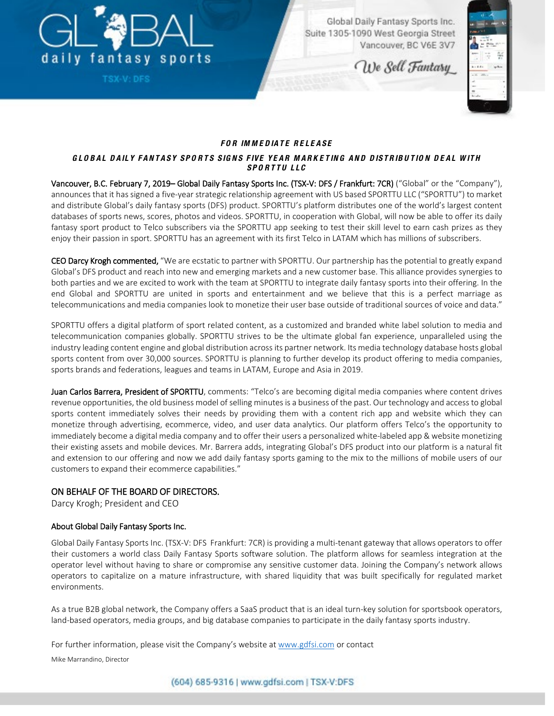

**TSX-V: DFS** 

Global Daily Fantasy Sports Inc. Suite 1305-1090 West Georgia Street Vancouver, BC V6E 3V7

We Sell Fantasy



### *FO R IM M E DIATE RE LE ASE*

#### *G LO BAL D AILY FANTASY SPO RT S SIG NS FIVE YEAR M ARK E TING AND DISTRIBU TIO N D E AL W ITH SPORTTU LLC*

Vancouver, B.C. February 7, 2019– Global Daily Fantasy Sports Inc. (TSX-V: DFS / Frankfurt: 7CR) ("Global" or the "Company"), announces that it has signed a five-year strategic relationship agreement with US based SPORTTU LLC ("SPORTTU") to market and distribute Global's daily fantasy sports (DFS) product. SPORTTU's platform distributes one of the world's largest content databases of sports news, scores, photos and videos. SPORTTU, in cooperation with Global, will now be able to offer its daily fantasy sport product to Telco subscribers via the SPORTTU app seeking to test their skill level to earn cash prizes as they enjoy their passion in sport. SPORTTU has an agreement with its first Telco in LATAM which has millions of subscribers.

CEO Darcy Krogh commented, "We are ecstatic to partner with SPORTTU. Our partnership has the potential to greatly expand Global's DFS product and reach into new and emerging markets and a new customer base. This alliance provides synergies to both parties and we are excited to work with the team at SPORTTU to integrate daily fantasy sports into their offering. In the end Global and SPORTTU are united in sports and entertainment and we believe that this is a perfect marriage as telecommunications and media companies look to monetize their user base outside of traditional sources of voice and data."

SPORTTU offers a digital platform of sport related content, as a customized and branded white label solution to media and telecommunication companies globally. SPORTTU strives to be the ultimate global fan experience, unparalleled using the industry leading content engine and global distribution across its partner network. Its media technology database hosts global sports content from over 30,000 sources. SPORTTU is planning to further develop its product offering to media companies, sports brands and federations, leagues and teams in LATAM, Europe and Asia in 2019.

Juan Carlos Barrera, President of SPORTTU, comments: "Telco's are becoming digital media companies where content drives revenue opportunities, the old business model of selling minutes is a business of the past. Our technology and access to global sports content immediately solves their needs by providing them with a content rich app and website which they can monetize through advertising, ecommerce, video, and user data analytics. Our platform offers Telco's the opportunity to immediately become a digital media company and to offer their users a personalized white-labeled app & website monetizing their existing assets and mobile devices. Mr. Barrera adds, integrating Global's DFS product into our platform is a natural fit and extension to our offering and now we add daily fantasy sports gaming to the mix to the millions of mobile users of our customers to expand their ecommerce capabilities."

# ON BEHALF OF THE BOARD OF DIRECTORS.

Darcy Krogh; President and CEO

# About Global Daily Fantasy Sports Inc.

Global Daily Fantasy Sports Inc. (TSX-V: DFS Frankfurt: 7CR) is providing a multi-tenant gateway that allows operators to offer their customers a world class Daily Fantasy Sports software solution. The platform allows for seamless integration at the operator level without having to share or compromise any sensitive customer data. Joining the Company's network allows operators to capitalize on a mature infrastructure, with shared liquidity that was built specifically for regulated market environments.

As a true B2B global network, the Company offers a SaaS product that is an ideal turn-key solution for sportsbook operators, land-based operators, media groups, and big database companies to participate in the daily fantasy sports industry.

For further information, please visit the Company's website at [www.gdfsi.com](http://www.gdfsi.com/) or contact

Mike Marrandino, Director

(604) 685-9316 | www.gdfsi.com | TSX-V:DFS